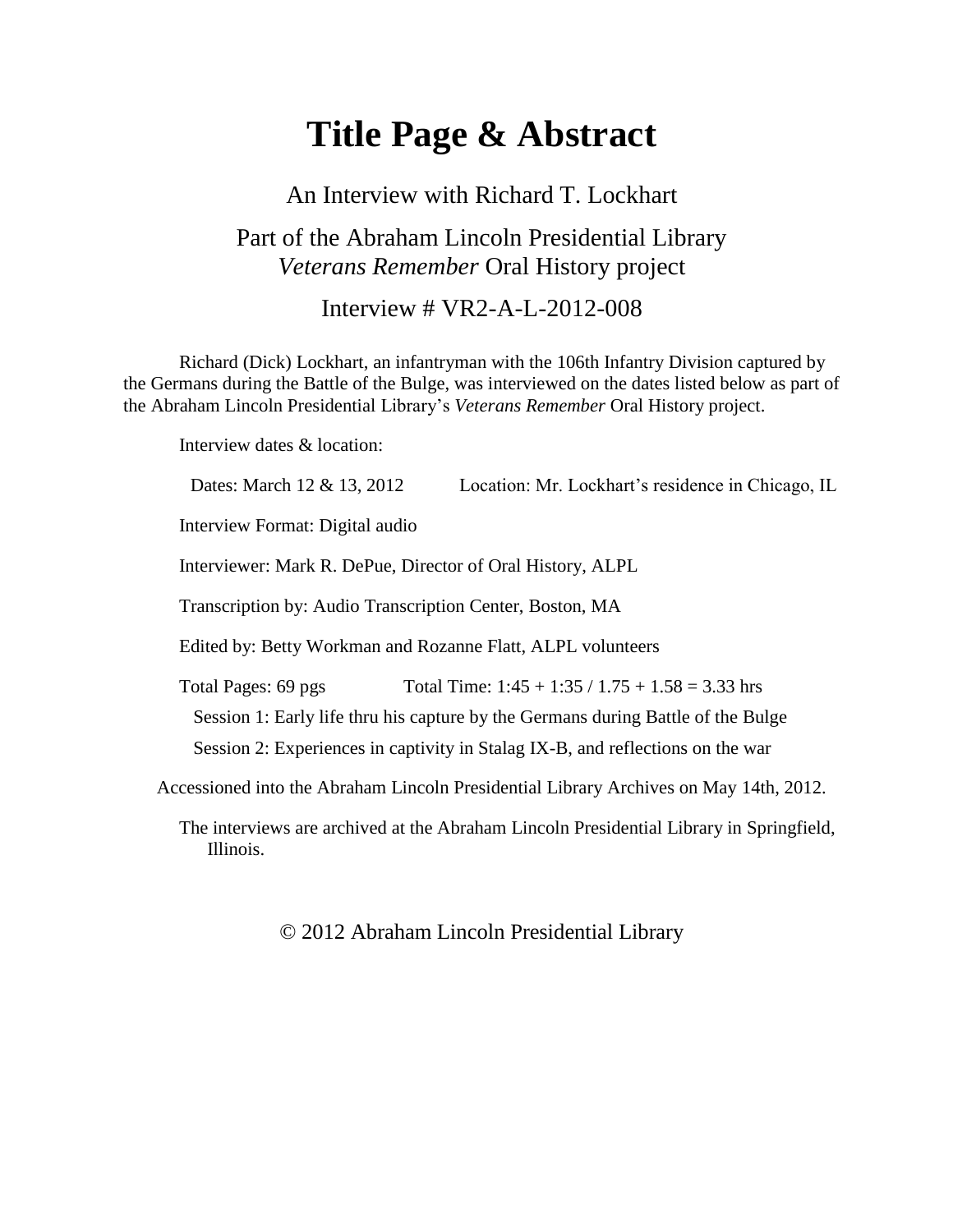# **Title Page & Abstract**

#### An Interview with Richard T. Lockhart

## Part of the Abraham Lincoln Presidential Library *Veterans Remember* Oral History project

#### Interview # VR2-A-L-2012-008

Richard (Dick) Lockhart, an infantryman with the 106th Infantry Division captured by the Germans during the Battle of the Bulge, was interviewed on the dates listed below as part of the Abraham Lincoln Presidential Library's *Veterans Remember* Oral History project.

Interview dates & location:

Dates: March 12 & 13, 2012 Location: Mr. Lockhart's residence in Chicago, IL

Interview Format: Digital audio

Interviewer: Mark R. DePue, Director of Oral History, ALPL

Transcription by: Audio Transcription Center, Boston, MA

Edited by: Betty Workman and Rozanne Flatt, ALPL volunteers

Total Pages: 69 pgs Total Time:  $1:45 + 1:35 / 1.75 + 1.58 = 3.33$  hrs

Session 1: Early life thru his capture by the Germans during Battle of the Bulge

Session 2: Experiences in captivity in Stalag IX-B, and reflections on the war

Accessioned into the Abraham Lincoln Presidential Library Archives on May 14th, 2012.

The interviews are archived at the Abraham Lincoln Presidential Library in Springfield, Illinois.

© 2012 Abraham Lincoln Presidential Library